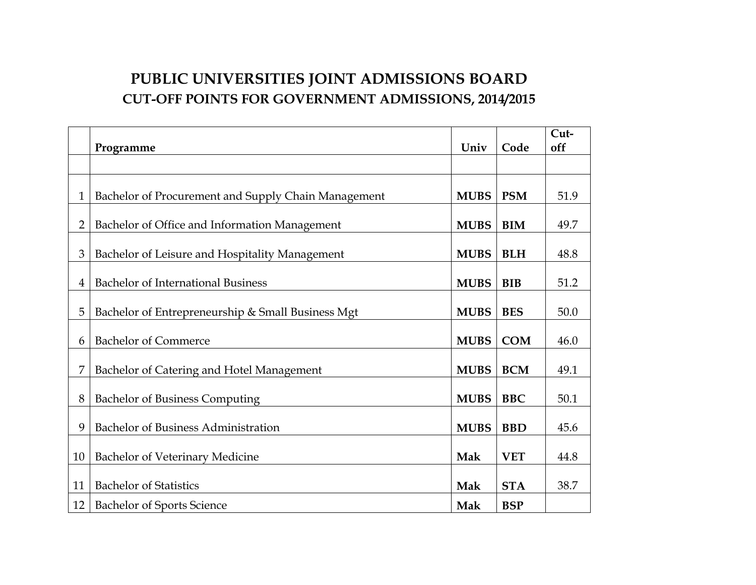## **PUBLIC UNIVERSITIES JOINT ADMISSIONS BOARD CUT-OFF POINTS FOR GOVERNMENT ADMISSIONS, 2014/2015**

|                |                                                     |             |            | Cut- |
|----------------|-----------------------------------------------------|-------------|------------|------|
|                | Programme                                           | Univ        | Code       | off  |
|                |                                                     |             |            |      |
| 1              | Bachelor of Procurement and Supply Chain Management | <b>MUBS</b> | <b>PSM</b> | 51.9 |
| 2              | Bachelor of Office and Information Management       | <b>MUBS</b> | <b>BIM</b> | 49.7 |
| 3              | Bachelor of Leisure and Hospitality Management      | <b>MUBS</b> | <b>BLH</b> | 48.8 |
| $\overline{4}$ | <b>Bachelor of International Business</b>           | <b>MUBS</b> | <b>BIB</b> | 51.2 |
| 5              | Bachelor of Entrepreneurship & Small Business Mgt   | <b>MUBS</b> | <b>BES</b> | 50.0 |
| 6              | <b>Bachelor of Commerce</b>                         | <b>MUBS</b> | <b>COM</b> | 46.0 |
| 7              | Bachelor of Catering and Hotel Management           | <b>MUBS</b> | <b>BCM</b> | 49.1 |
| 8              | <b>Bachelor of Business Computing</b>               | <b>MUBS</b> | <b>BBC</b> | 50.1 |
| 9              | Bachelor of Business Administration                 | <b>MUBS</b> | <b>BBD</b> | 45.6 |
| 10             | Bachelor of Veterinary Medicine                     | Mak         | <b>VET</b> | 44.8 |
| 11             | <b>Bachelor of Statistics</b>                       | Mak         | <b>STA</b> | 38.7 |
| 12             | <b>Bachelor of Sports Science</b>                   | Mak         | <b>BSP</b> |      |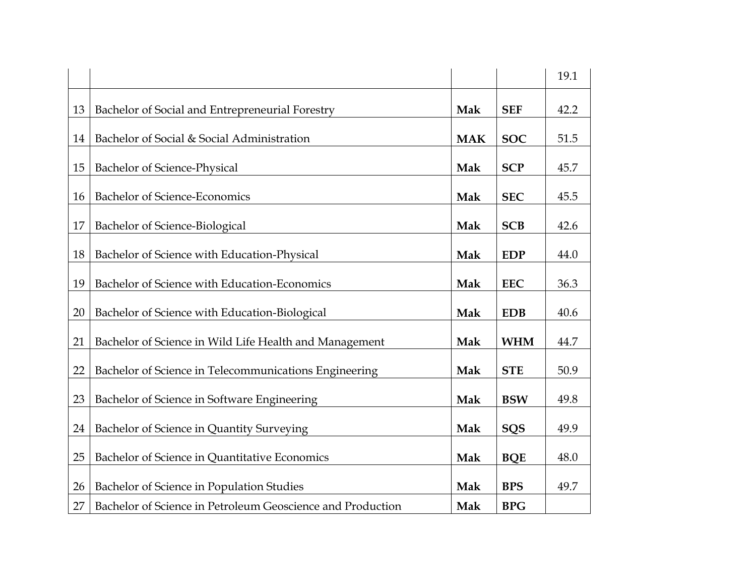|    |                                                            |            |            | 19.1 |
|----|------------------------------------------------------------|------------|------------|------|
| 13 | Bachelor of Social and Entrepreneurial Forestry            | Mak        | <b>SEF</b> | 42.2 |
| 14 | Bachelor of Social & Social Administration                 | <b>MAK</b> | <b>SOC</b> | 51.5 |
| 15 | Bachelor of Science-Physical                               | Mak        | <b>SCP</b> | 45.7 |
| 16 | Bachelor of Science-Economics                              | Mak        | <b>SEC</b> | 45.5 |
| 17 | Bachelor of Science-Biological                             | Mak        | <b>SCB</b> | 42.6 |
| 18 | Bachelor of Science with Education-Physical                | Mak        | <b>EDP</b> | 44.0 |
| 19 | Bachelor of Science with Education-Economics               | Mak        | <b>EEC</b> | 36.3 |
|    |                                                            |            |            |      |
| 20 | Bachelor of Science with Education-Biological              | Mak        | <b>EDB</b> | 40.6 |
| 21 | Bachelor of Science in Wild Life Health and Management     | Mak        | <b>WHM</b> | 44.7 |
| 22 | Bachelor of Science in Telecommunications Engineering      | Mak        | <b>STE</b> | 50.9 |
| 23 | Bachelor of Science in Software Engineering                | Mak        | <b>BSW</b> | 49.8 |
| 24 | Bachelor of Science in Quantity Surveying                  | Mak        | <b>SQS</b> | 49.9 |
| 25 | Bachelor of Science in Quantitative Economics              | Mak        | <b>BQE</b> | 48.0 |
|    |                                                            |            |            |      |
| 26 | Bachelor of Science in Population Studies                  | Mak        | <b>BPS</b> | 49.7 |
| 27 | Bachelor of Science in Petroleum Geoscience and Production | Mak        | <b>BPG</b> |      |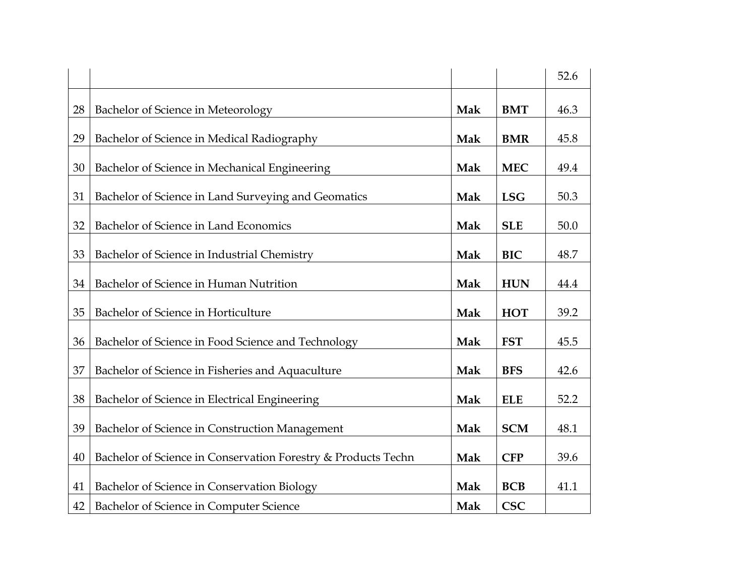|    |                                                               |     |            | 52.6 |
|----|---------------------------------------------------------------|-----|------------|------|
| 28 | Bachelor of Science in Meteorology                            | Mak | <b>BMT</b> | 46.3 |
| 29 | Bachelor of Science in Medical Radiography                    | Mak | <b>BMR</b> | 45.8 |
| 30 | Bachelor of Science in Mechanical Engineering                 | Mak | <b>MEC</b> | 49.4 |
| 31 | Bachelor of Science in Land Surveying and Geomatics           | Mak | <b>LSG</b> | 50.3 |
| 32 | Bachelor of Science in Land Economics                         | Mak | <b>SLE</b> | 50.0 |
| 33 | Bachelor of Science in Industrial Chemistry                   | Mak | <b>BIC</b> | 48.7 |
| 34 | Bachelor of Science in Human Nutrition                        | Mak | <b>HUN</b> | 44.4 |
| 35 | Bachelor of Science in Horticulture                           | Mak | <b>HOT</b> | 39.2 |
| 36 | Bachelor of Science in Food Science and Technology            | Mak | <b>FST</b> | 45.5 |
| 37 | Bachelor of Science in Fisheries and Aquaculture              | Mak | <b>BFS</b> | 42.6 |
| 38 | Bachelor of Science in Electrical Engineering                 | Mak | <b>ELE</b> | 52.2 |
| 39 | Bachelor of Science in Construction Management                | Mak | <b>SCM</b> | 48.1 |
| 40 | Bachelor of Science in Conservation Forestry & Products Techn | Mak | <b>CFP</b> | 39.6 |
| 41 | Bachelor of Science in Conservation Biology                   | Mak | <b>BCB</b> | 41.1 |
| 42 | Bachelor of Science in Computer Science                       | Mak | <b>CSC</b> |      |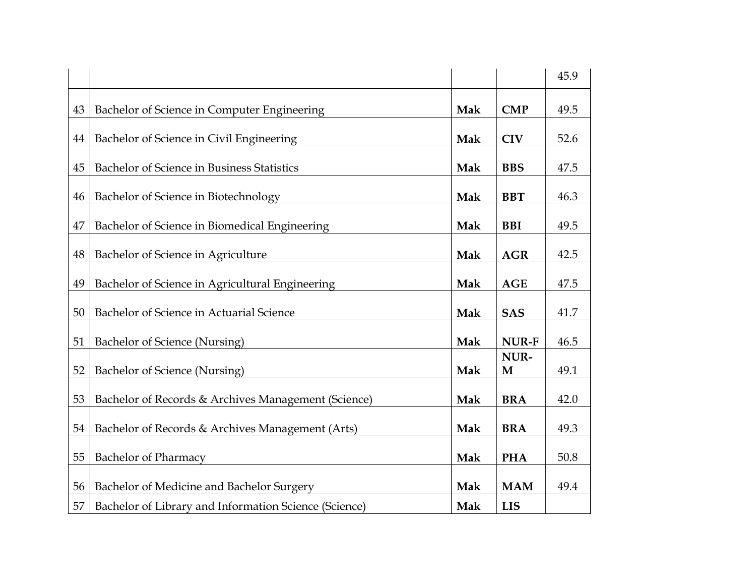|    |                                                       |     |              | 45.9 |
|----|-------------------------------------------------------|-----|--------------|------|
| 43 | Bachelor of Science in Computer Engineering           | Mak | <b>CMP</b>   | 49.5 |
| 44 | Bachelor of Science in Civil Engineering              | Mak | <b>CIV</b>   | 52.6 |
| 45 | Bachelor of Science in Business Statistics            | Mak | <b>BBS</b>   | 47.5 |
| 46 | Bachelor of Science in Biotechnology                  | Mak | <b>BBT</b>   | 46.3 |
| 47 | Bachelor of Science in Biomedical Engineering         | Mak | <b>BBI</b>   | 49.5 |
| 48 | Bachelor of Science in Agriculture                    | Mak | <b>AGR</b>   | 42.5 |
| 49 | Bachelor of Science in Agricultural Engineering       | Mak | <b>AGE</b>   | 47.5 |
| 50 | Bachelor of Science in Actuarial Science              | Mak | <b>SAS</b>   | 41.7 |
| 51 | Bachelor of Science (Nursing)                         | Mak | <b>NUR-F</b> | 46.5 |
| 52 | Bachelor of Science (Nursing)                         | Mak | NUR-<br>M    | 49.1 |
| 53 | Bachelor of Records & Archives Management (Science)   | Mak | <b>BRA</b>   | 42.0 |
| 54 | Bachelor of Records & Archives Management (Arts)      | Mak | <b>BRA</b>   | 49.3 |
| 55 | <b>Bachelor of Pharmacy</b>                           | Mak | <b>PHA</b>   | 50.8 |
| 56 | Bachelor of Medicine and Bachelor Surgery             | Mak | <b>MAM</b>   | 49.4 |
| 57 | Bachelor of Library and Information Science (Science) | Mak | <b>LIS</b>   |      |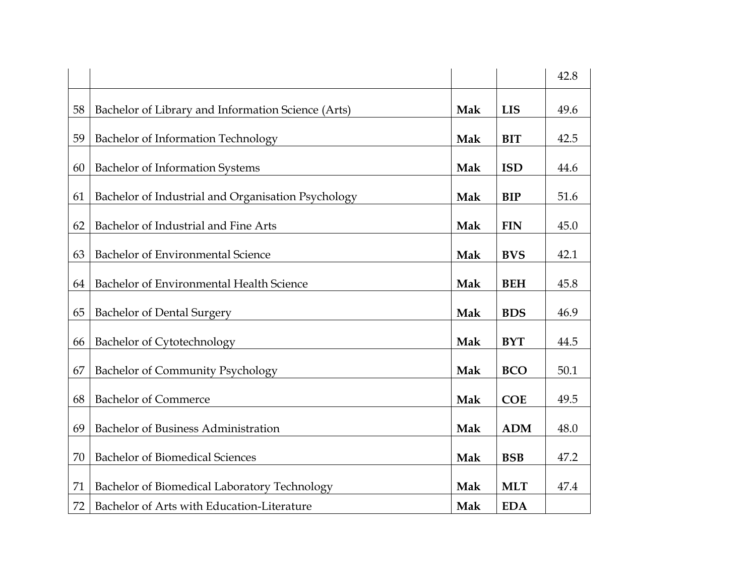|    |                                                    |     |            | 42.8 |
|----|----------------------------------------------------|-----|------------|------|
| 58 | Bachelor of Library and Information Science (Arts) | Mak | <b>LIS</b> | 49.6 |
| 59 | Bachelor of Information Technology                 | Mak | <b>BIT</b> | 42.5 |
| 60 | <b>Bachelor of Information Systems</b>             | Mak | <b>ISD</b> | 44.6 |
| 61 | Bachelor of Industrial and Organisation Psychology | Mak | <b>BIP</b> | 51.6 |
| 62 | Bachelor of Industrial and Fine Arts               | Mak | <b>FIN</b> | 45.0 |
| 63 | Bachelor of Environmental Science                  | Mak | <b>BVS</b> | 42.1 |
| 64 | Bachelor of Environmental Health Science           | Mak | <b>BEH</b> | 45.8 |
| 65 | <b>Bachelor of Dental Surgery</b>                  | Mak | <b>BDS</b> | 46.9 |
| 66 | Bachelor of Cytotechnology                         | Mak | <b>BYT</b> | 44.5 |
| 67 | <b>Bachelor of Community Psychology</b>            | Mak | <b>BCO</b> | 50.1 |
| 68 | <b>Bachelor of Commerce</b>                        | Mak | <b>COE</b> | 49.5 |
|    |                                                    |     |            |      |
| 69 | Bachelor of Business Administration                | Mak | <b>ADM</b> | 48.0 |
| 70 | <b>Bachelor of Biomedical Sciences</b>             | Mak | <b>BSB</b> | 47.2 |
| 71 | Bachelor of Biomedical Laboratory Technology       | Mak | <b>MLT</b> | 47.4 |
| 72 | Bachelor of Arts with Education-Literature         | Mak | <b>EDA</b> |      |